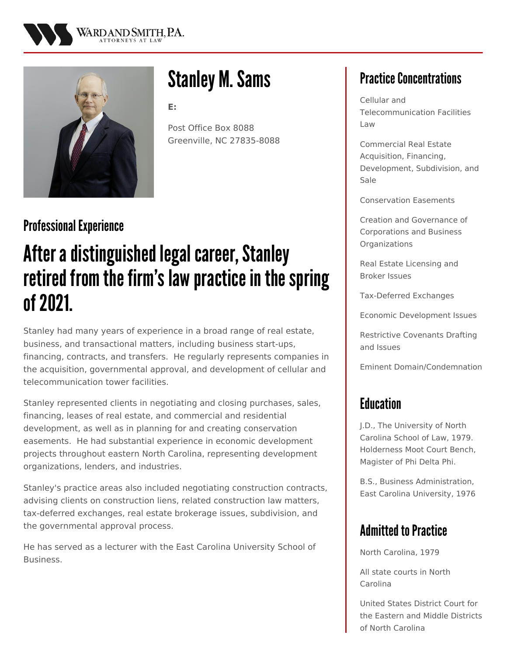



# Stanley M.Sams

**E:**

Post Office Box 8088 Greenville, NC 27835-8088

### Professional Experience

## After a distinguished legal career, Stanley retired from the firm's law practice in the spring of2021.

Stanley had many years of experience in a broad range of real estate, business, and transactional matters, including business start-ups, financing, contracts, and transfers. He regularly represents companies in the acquisition, governmental approval, and development of cellular and telecommunication tower facilities.

Stanley represented clients in negotiating and closing purchases, sales, financing, leases of real estate, and commercial and residential development, as well as in planning for and creating conservation easements. He had substantial experience in economic development projects throughout eastern North Carolina, representing development organizations, lenders, and industries.

Stanley's practice areas also included negotiating construction contracts, advising clients on construction liens, related construction law matters, tax-deferred exchanges, real estate brokerage issues, subdivision, and the governmental approval process.

He has served as a lecturer with the East Carolina University School of Business.

### **Practice Concentrations**

Cellular and Telecommunication Facilities Law

Commercial Real Estate Acquisition, Financing, Development, Subdivision, and Sale

Conservation Easements

Creation and Governance of Corporations and Business **Organizations** 

Real Estate Licensing and Broker Issues

Tax-Deferred Exchanges

Economic Development Issues

Restrictive Covenants Drafting and Issues

Eminent Domain/Condemnation

### **Education**

J.D., The University of North Carolina School of Law, 1979. Holderness Moot Court Bench, Magister of Phi Delta Phi.

B.S., Business Administration, East Carolina University, 1976

## **Admitted to Practice**

North Carolina, 1979

All state courts in North Carolina

United States District Court for the Eastern and Middle Districts of North Carolina